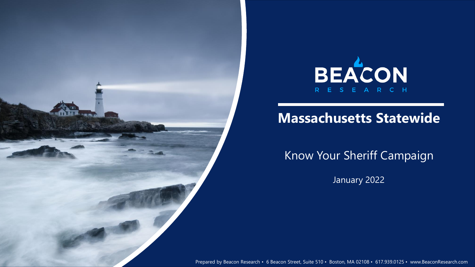



# **Massachusetts Statewide**

Know Your Sheriff Campaign

January 2022

**1** Prepared by Beacon Research • 6 Beacon Street, Suite 510 • Boston, MA 02108 • 617.939.0125 • www.BeaconResearch.com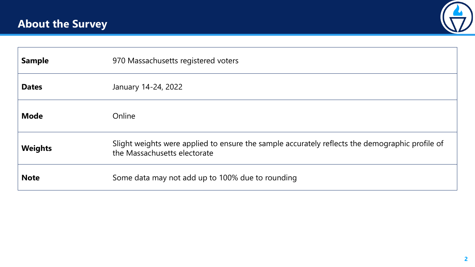

| <b>Sample</b>  | 970 Massachusetts registered voters                                                                                             |
|----------------|---------------------------------------------------------------------------------------------------------------------------------|
| <b>Dates</b>   | January 14-24, 2022                                                                                                             |
| <b>Mode</b>    | Online                                                                                                                          |
| <b>Weights</b> | Slight weights were applied to ensure the sample accurately reflects the demographic profile of<br>the Massachusetts electorate |
| <b>Note</b>    | Some data may not add up to 100% due to rounding                                                                                |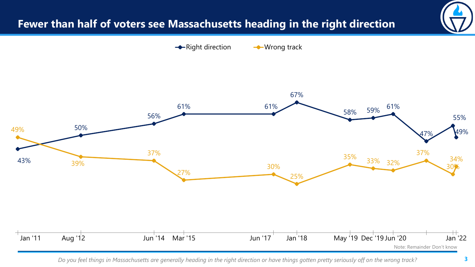# **Fewer than half of voters see Massachusetts heading in the right direction**

 $\rightarrow$  Right direction  $\rightarrow$  Wrong track



*Do you feel things in Massachusetts are generally heading in the right direction or have things gotten pretty seriously off on the wrong track?*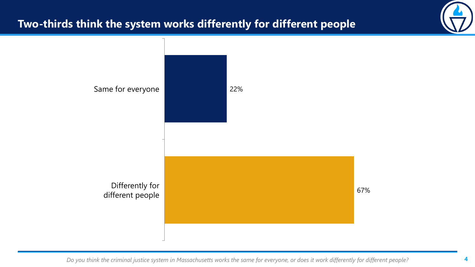# **Two-thirds think the system works differently for different people**



*Do you think the criminal justice system in Massachusetts works the same for everyone, or does it work differently for different people?*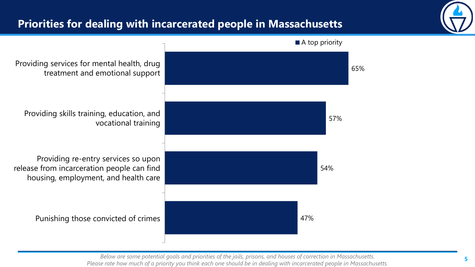# **Priorities for dealing with incarcerated people in Massachusetts**





*Below are some potential goals and priorities of the jails, prisons, and houses of correction in Massachusetts. Please rate how much of a priority you think each one should be in dealing with incarcerated people in Massachusetts.*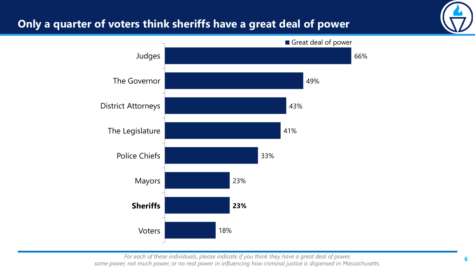## **Only a quarter of voters think sheriffs have a great deal of power**





*For each of these individuals, please indicate if you think they have a great deal of power, some power, not much power, or no real power in influencing how criminal justice is dispensed in Massachusetts.*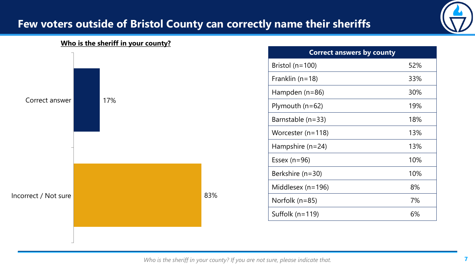

#### **Who is the sheriff in your county?**



*Who is the sheriff in your county? If you are not sure, please indicate that.*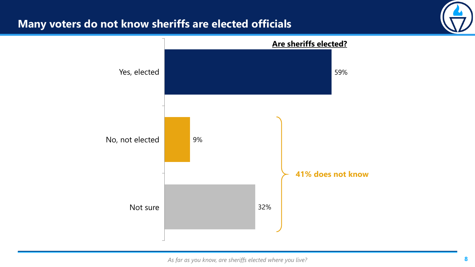#### **Many voters do not know sheriffs are elected officials**



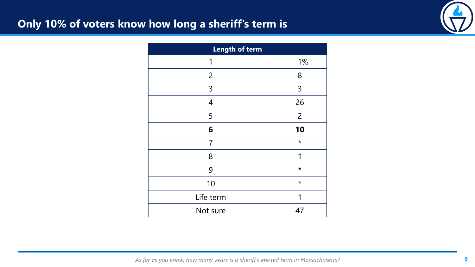## **Only 10% of voters know how long a sheriff's term is**



| Length of term |                |
|----------------|----------------|
| 1              | 1%             |
| $\overline{2}$ | 8              |
| 3              | 3              |
| $\overline{4}$ | 26             |
| 5              | $\overline{2}$ |
| 6              | 10             |
| 7              | $\star$        |
| 8              | 1              |
| 9              | $\star$        |
| 10             | $\star$        |
| Life term      |                |
| Not sure       | 47             |

*As far as you know, how many years is a sheriff's elected term in Massachusetts?*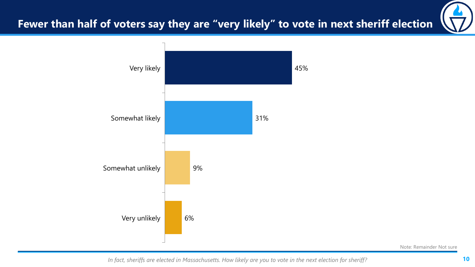# **Fewer than half of voters say they are "very likely" to vote in next sheriff election**



Note: Remainder Not sure

*In fact, sheriffs are elected in Massachusetts. How likely are you to vote in the next election for sheriff?*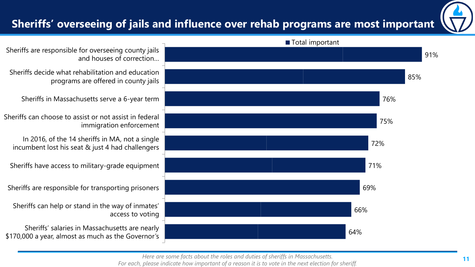# **Sheriffs' overseeing of jails and influence over rehab programs are most important**

![](_page_10_Picture_1.jpeg)

![](_page_10_Figure_2.jpeg)

Sheriffs are responsible for overseeing county jails and houses of correction…

Sheriffs decide what rehabilitation and education programs are offered in county jails

Sheriffs in Massachusetts serve a 6-year term

Sheriffs can choose to assist or not assist in federal immigration enforcement

In 2016, of the 14 sheriffs in MA, not a single incumbent lost his seat & just 4 had challengers

Sheriffs have access to military-grade equipment

Sheriffs are responsible for transporting prisoners

Sheriffs can help or stand in the way of inmates' access to voting

Sheriffs' salaries in Massachusetts are nearly \$170,000 a year, almost as much as the Governor's

*Here are some facts about the roles and duties of sheriffs in Massachusetts.* 

*For each, please indicate how important of a reason it is to vote in the next election for sheriff.*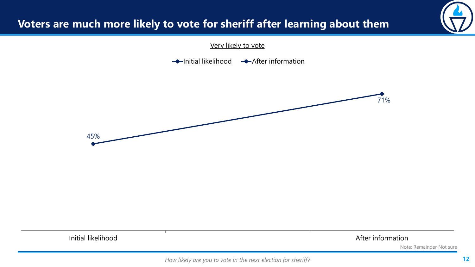# **Voters are much more likely to vote for sheriff after learning about them**

Very likely to vote

 $\rightarrow$ Initial likelihood  $\rightarrow$ After information

![](_page_11_Figure_3.jpeg)

Initial likelihood **After information** 

Note: Remainder Not sure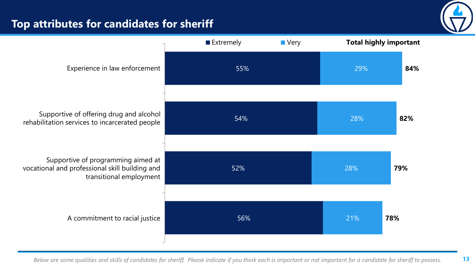# **Top attributes for candidates for sheriff**

![](_page_12_Picture_1.jpeg)

![](_page_12_Figure_2.jpeg)

*Below are some qualities and skills of candidates for sheriff. Please indicate if you think each is important or not important for a candidate for sheriff to possess.*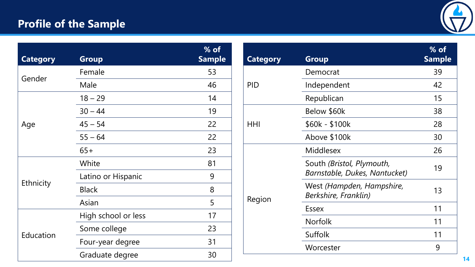# **Profile of the Sample**

![](_page_13_Picture_1.jpeg)

| <b>Category</b> | <b>Group</b>        | $%$ of<br><b>Sample</b> |
|-----------------|---------------------|-------------------------|
| Gender          | Female              | 53                      |
|                 | Male                | 46                      |
| Age             | $18 - 29$           | 14                      |
|                 | $30 - 44$           | 19                      |
|                 | $45 - 54$           | 22                      |
|                 | $55 - 64$           | 22                      |
|                 | $65+$               | 23                      |
| Ethnicity       | White               | 81                      |
|                 | Latino or Hispanic  | 9                       |
|                 | <b>Black</b>        | 8                       |
|                 | Asian               | 5                       |
| Education       | High school or less | 17                      |
|                 | Some college        | 23                      |
|                 | Four-year degree    | 31                      |
|                 | Graduate degree     | 30                      |

| <b>Category</b> | <b>Group</b>                                               | $%$ of<br><b>Sample</b> |
|-----------------|------------------------------------------------------------|-------------------------|
|                 | Democrat                                                   | 39                      |
| PID             | Independent                                                | 42                      |
|                 | Republican                                                 | 15                      |
|                 | Below \$60k                                                | 38                      |
| HHI             | $$60k - $100k$                                             | 28                      |
|                 | Above \$100k                                               | 30                      |
|                 | <b>Middlesex</b>                                           | 26                      |
|                 | South (Bristol, Plymouth,<br>Barnstable, Dukes, Nantucket) | 19                      |
| Region          | West (Hampden, Hampshire,<br>Berkshire, Franklin)          | 13                      |
|                 | <b>Essex</b>                                               | 11                      |
|                 | <b>Norfolk</b>                                             | 11                      |
|                 | Suffolk                                                    | 11                      |
|                 | Worcester                                                  | 9                       |